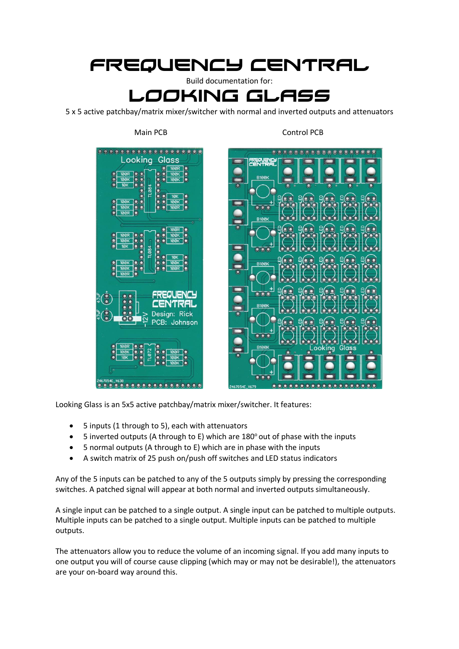# Frequency central

Build documentation for:

## Looking glass

5 x 5 active patchbay/matrix mixer/switcher with normal and inverted outputs and attenuators

Main PCB Control PCB



Looking Glass is an 5x5 active patchbay/matrix mixer/switcher. It features:

- 5 inputs (1 through to 5), each with attenuators
- 5 inverted outputs (A through to E) which are 180° out of phase with the inputs
- 5 normal outputs (A through to E) which are in phase with the inputs
- A switch matrix of 25 push on/push off switches and LED status indicators

Any of the 5 inputs can be patched to any of the 5 outputs simply by pressing the corresponding switches. A patched signal will appear at both normal and inverted outputs simultaneously.

A single input can be patched to a single output. A single input can be patched to multiple outputs. Multiple inputs can be patched to a single output. Multiple inputs can be patched to multiple outputs.

The attenuators allow you to reduce the volume of an incoming signal. If you add many inputs to one output you will of course cause clipping (which may or may not be desirable!), the attenuators are your on-board way around this.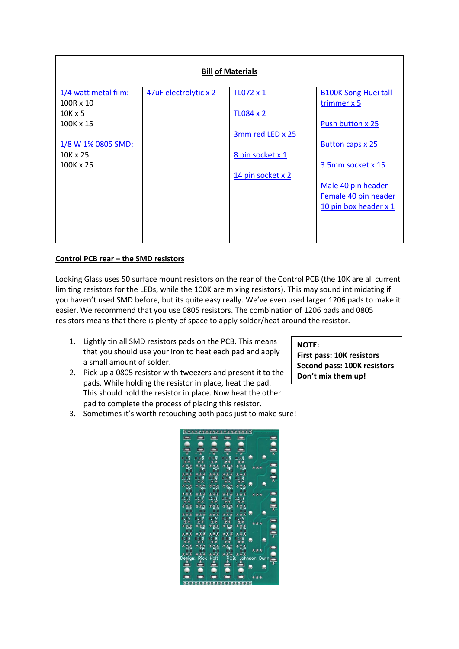| <b>Bill of Materials</b> |                       |                   |                             |
|--------------------------|-----------------------|-------------------|-----------------------------|
| 1/4 watt metal film:     | 47uF electrolytic x 2 | TL072 x 1         | <b>B100K Song Huei tall</b> |
| 100R x 10                |                       |                   | trimmer x 5                 |
| $10K \times 5$           |                       | <b>TL084 x 2</b>  |                             |
| 100K x 15                |                       |                   | Push button x 25            |
|                          |                       | 3mm red LED x 25  |                             |
| 1/8 W 1% 0805 SMD:       |                       |                   | <b>Button caps x 25</b>     |
| 10K x 25                 |                       | 8 pin socket x 1  |                             |
| 100K x 25                |                       |                   | 3.5mm socket x 15           |
|                          |                       | 14 pin socket x 2 |                             |
|                          |                       |                   | Male 40 pin header          |
|                          |                       |                   | Female 40 pin header        |
|                          |                       |                   | 10 pin box header x 1       |
|                          |                       |                   |                             |
|                          |                       |                   |                             |
|                          |                       |                   |                             |

### **Control PCB rear – the SMD resistors**

Looking Glass uses 50 surface mount resistors on the rear of the Control PCB (the 10K are all current limiting resistors for the LEDs, while the 100K are mixing resistors). This may sound intimidating if you haven't used SMD before, but its quite easy really. We've even used larger 1206 pads to make it easier. We recommend that you use 0805 resistors. The combination of 1206 pads and 0805 resistors means that there is plenty of space to apply solder/heat around the resistor.

- 1. Lightly tin all SMD resistors pads on the PCB. This means that you should use your iron to heat each pad and apply a small amount of solder.
- 2. Pick up a 0805 resistor with tweezers and present it to the pads. While holding the resistor in place, heat the pad. This should hold the resistor in place. Now heat the other pad to complete the process of placing this resistor.

#### **NOTE:**

**First pass: 10K resistors Second pass: 100K resistors Don't mix them up!**

3. Sometimes it's worth retouching both pads just to make sure!

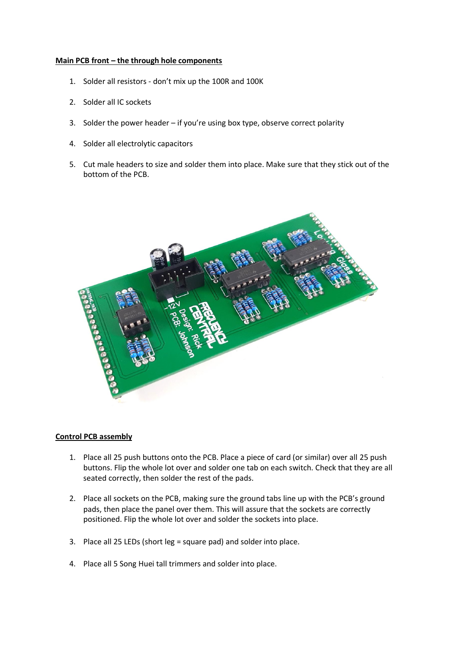#### **Main PCB front – the through hole components**

- 1. Solder all resistors don't mix up the 100R and 100K
- 2. Solder all IC sockets
- 3. Solder the power header if you're using box type, observe correct polarity
- 4. Solder all electrolytic capacitors
- 5. Cut male headers to size and solder them into place. Make sure that they stick out of the bottom of the PCB.



#### **Control PCB assembly**

- 1. Place all 25 push buttons onto the PCB. Place a piece of card (or similar) over all 25 push buttons. Flip the whole lot over and solder one tab on each switch. Check that they are all seated correctly, then solder the rest of the pads.
- 2. Place all sockets on the PCB, making sure the ground tabs line up with the PCB's ground pads, then place the panel over them. This will assure that the sockets are correctly positioned. Flip the whole lot over and solder the sockets into place.
- 3. Place all 25 LEDs (short leg = square pad) and solder into place.
- 4. Place all 5 Song Huei tall trimmers and solder into place.